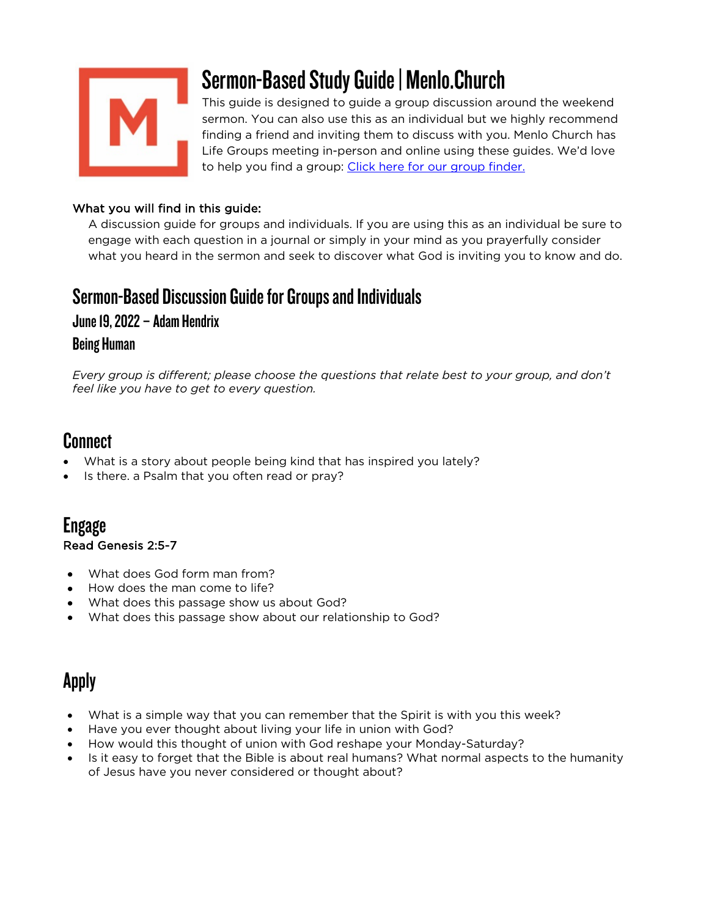

# Sermon-Based Study Guide | Menlo.Church

This guide is designed to guide a group discussion around the weekend sermon. You can also use this as an individual but we highly recommend finding a friend and inviting them to discuss with you. Menlo Church has Life Groups meeting in-person and online using these guides. We'd love to help you find a group: Click here for our group finder.

### What you will find in this guide:

A discussion guide for groups and individuals. If you are using this as an individual be sure to engage with each question in a journal or simply in your mind as you prayerfully consider what you heard in the sermon and seek to discover what God is inviting you to know and do.

## Sermon-Based Discussion Guide for Groups and Individuals

## June 19, 2022 – Adam Hendrix

## Being Human

*Every group is different; please choose the questions that relate best to your group, and don't feel like you have to get to every question.*

## Connect

- What is a story about people being kind that has inspired you lately?
- Is there. a Psalm that you often read or pray?

## Engage Read Genesis 2:5-7

- What does God form man from?
- How does the man come to life?
- What does this passage show us about God?
- What does this passage show about our relationship to God?

## Apply

- What is a simple way that you can remember that the Spirit is with you this week?
- Have you ever thought about living your life in union with God?
- How would this thought of union with God reshape your Monday-Saturday?
- Is it easy to forget that the Bible is about real humans? What normal aspects to the humanity of Jesus have you never considered or thought about?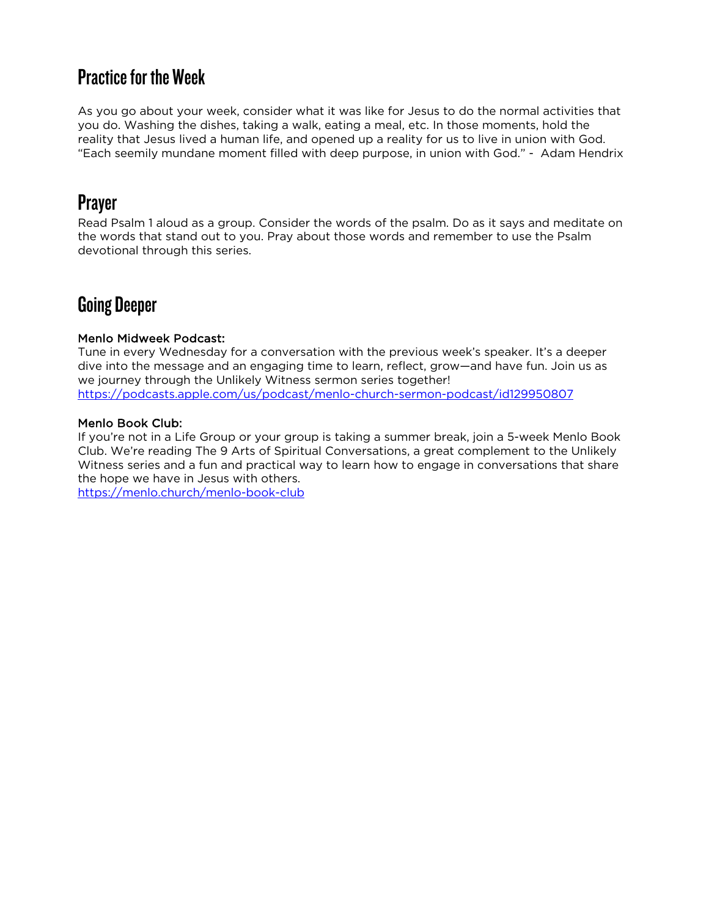## Practice for the Week

As you go about your week, consider what it was like for Jesus to do the normal activities that you do. Washing the dishes, taking a walk, eating a meal, etc. In those moments, hold the reality that Jesus lived a human life, and opened up a reality for us to live in union with God. "Each seemily mundane moment filled with deep purpose, in union with God." - Adam Hendrix

## Prayer

Read Psalm 1 aloud as a group. Consider the words of the psalm. Do as it says and meditate on the words that stand out to you. Pray about those words and remember to use the Psalm devotional through this series.

## Going Deeper

### Menlo Midweek Podcast:

Tune in every Wednesday for a conversation with the previous week's speaker. It's a deeper dive into the message and an engaging time to learn, reflect, grow—and have fun. Join us as we journey through the Unlikely Witness sermon series together! https://podcasts.apple.com/us/podcast/menlo-church-sermon-podcast/id129950807

### Menlo Book Club:

If you're not in a Life Group or your group is taking a summer break, join a 5-week Menlo Book Club. We're reading The 9 Arts of Spiritual Conversations, a great complement to the Unlikely Witness series and a fun and practical way to learn how to engage in conversations that share the hope we have in Jesus with others.

https://menlo.church/menlo-book-club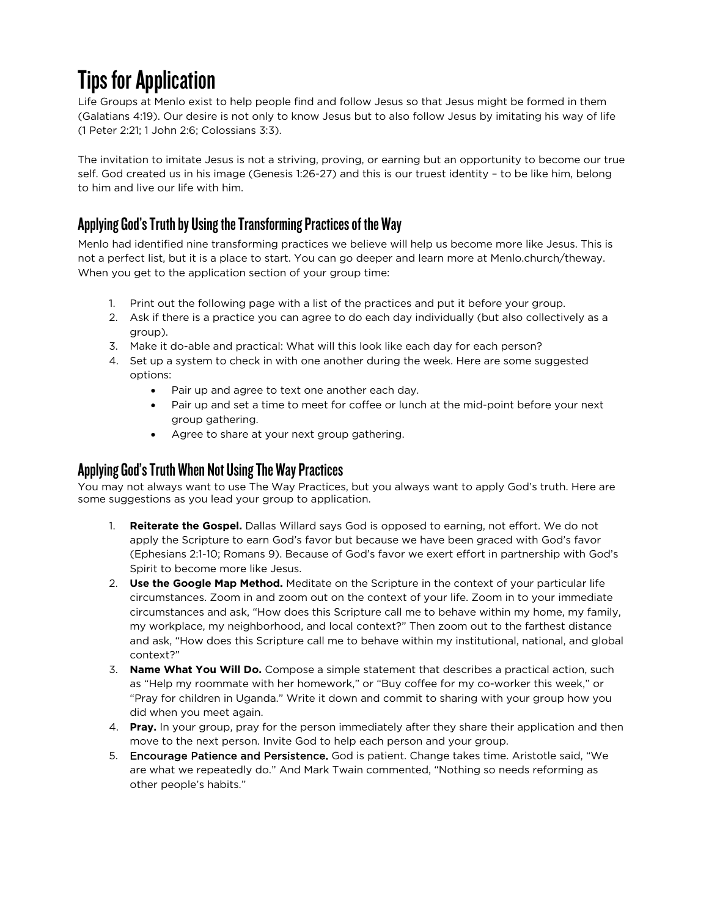# Tips for Application

Life Groups at Menlo exist to help people find and follow Jesus so that Jesus might be formed in them (Galatians 4:19). Our desire is not only to know Jesus but to also follow Jesus by imitating his way of life (1 Peter 2:21; 1 John 2:6; Colossians 3:3).

The invitation to imitate Jesus is not a striving, proving, or earning but an opportunity to become our true self. God created us in his image (Genesis 1:26-27) and this is our truest identity – to be like him, belong to him and live our life with him.

## Applying God's Truth by Using the Transforming Practices of the Way

Menlo had identified nine transforming practices we believe will help us become more like Jesus. This is not a perfect list, but it is a place to start. You can go deeper and learn more at Menlo.church/theway. When you get to the application section of your group time:

- 1. Print out the following page with a list of the practices and put it before your group.
- 2. Ask if there is a practice you can agree to do each day individually (but also collectively as a group).
- 3. Make it do-able and practical: What will this look like each day for each person?
- 4. Set up a system to check in with one another during the week. Here are some suggested options:
	- Pair up and agree to text one another each day.
	- Pair up and set a time to meet for coffee or lunch at the mid-point before your next group gathering.
	- Agree to share at your next group gathering.

## Applying God's Truth When Not Using The Way Practices

You may not always want to use The Way Practices, but you always want to apply God's truth. Here are some suggestions as you lead your group to application.

- 1. **Reiterate the Gospel.** Dallas Willard says God is opposed to earning, not effort. We do not apply the Scripture to earn God's favor but because we have been graced with God's favor (Ephesians 2:1-10; Romans 9). Because of God's favor we exert effort in partnership with God's Spirit to become more like Jesus.
- 2. **Use the Google Map Method.** Meditate on the Scripture in the context of your particular life circumstances. Zoom in and zoom out on the context of your life. Zoom in to your immediate circumstances and ask, "How does this Scripture call me to behave within my home, my family, my workplace, my neighborhood, and local context?" Then zoom out to the farthest distance and ask, "How does this Scripture call me to behave within my institutional, national, and global context?"
- 3. **Name What You Will Do.** Compose a simple statement that describes a practical action, such as "Help my roommate with her homework," or "Buy coffee for my co-worker this week," or "Pray for children in Uganda." Write it down and commit to sharing with your group how you did when you meet again.
- 4. **Pray.** In your group, pray for the person immediately after they share their application and then move to the next person. Invite God to help each person and your group.
- 5. Encourage Patience and Persistence. God is patient. Change takes time. Aristotle said, "We are what we repeatedly do." And Mark Twain commented, "Nothing so needs reforming as other people's habits."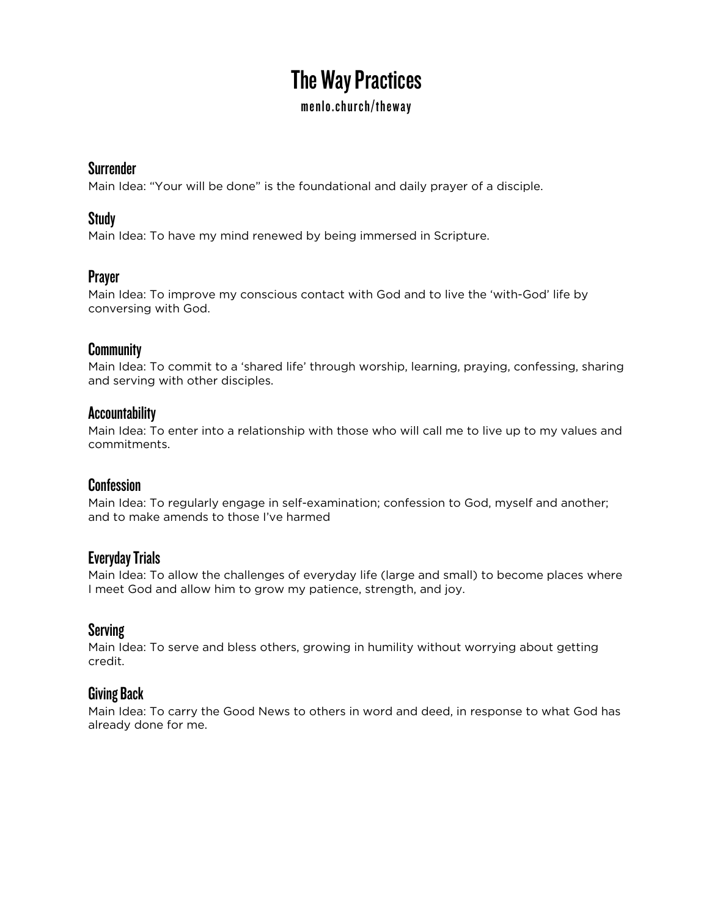# The Way Practices

### menlo.church/theway

### **Surrender**

Main Idea: "Your will be done" is the foundational and daily prayer of a disciple.

## Study

Main Idea: To have my mind renewed by being immersed in Scripture.

## Prayer

Main Idea: To improve my conscious contact with God and to live the 'with-God' life by conversing with God.

### **Community**

Main Idea: To commit to a 'shared life' through worship, learning, praying, confessing, sharing and serving with other disciples.

## Accountability

Main Idea: To enter into a relationship with those who will call me to live up to my values and commitments.

## **Confession**

Main Idea: To regularly engage in self-examination; confession to God, myself and another; and to make amends to those I've harmed

## Everyday Trials

Main Idea: To allow the challenges of everyday life (large and small) to become places where I meet God and allow him to grow my patience, strength, and joy.

## Serving

Main Idea: To serve and bless others, growing in humility without worrying about getting credit.

## Giving Back

Main Idea: To carry the Good News to others in word and deed, in response to what God has already done for me.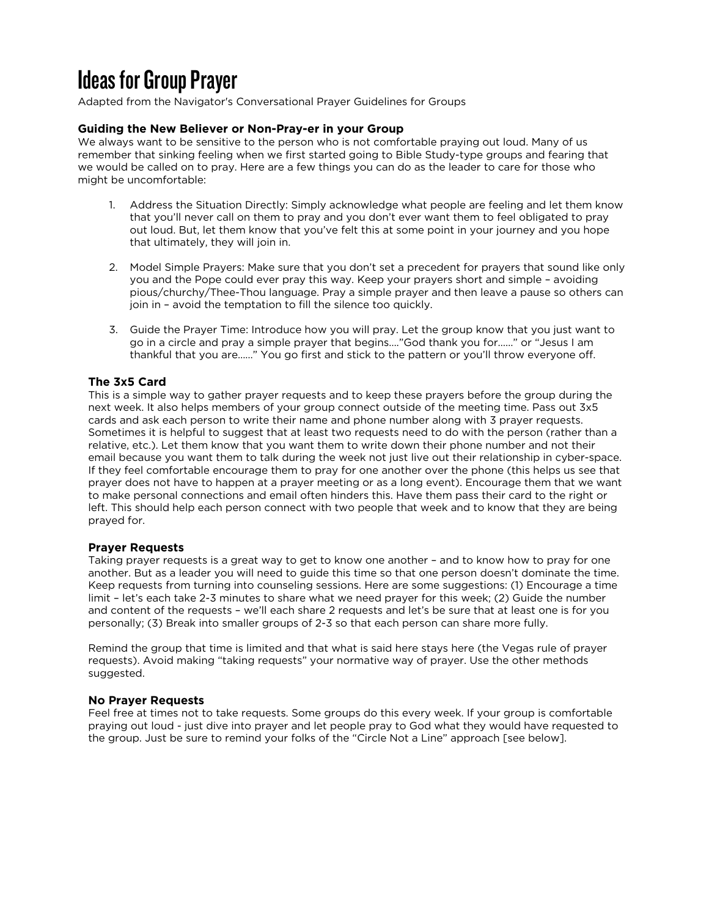# Ideas for Group Prayer

Adapted from the Navigator's Conversational Prayer Guidelines for Groups

#### **Guiding the New Believer or Non-Pray-er in your Group**

We always want to be sensitive to the person who is not comfortable praying out loud. Many of us remember that sinking feeling when we first started going to Bible Study-type groups and fearing that we would be called on to pray. Here are a few things you can do as the leader to care for those who might be uncomfortable:

- 1. Address the Situation Directly: Simply acknowledge what people are feeling and let them know that you'll never call on them to pray and you don't ever want them to feel obligated to pray out loud. But, let them know that you've felt this at some point in your journey and you hope that ultimately, they will join in.
- 2. Model Simple Prayers: Make sure that you don't set a precedent for prayers that sound like only you and the Pope could ever pray this way. Keep your prayers short and simple – avoiding pious/churchy/Thee-Thou language. Pray a simple prayer and then leave a pause so others can join in – avoid the temptation to fill the silence too quickly.
- 3. Guide the Prayer Time: Introduce how you will pray. Let the group know that you just want to go in a circle and pray a simple prayer that begins…."God thank you for……" or "Jesus I am thankful that you are……" You go first and stick to the pattern or you'll throw everyone off.

#### **The 3x5 Card**

This is a simple way to gather prayer requests and to keep these prayers before the group during the next week. It also helps members of your group connect outside of the meeting time. Pass out 3x5 cards and ask each person to write their name and phone number along with 3 prayer requests. Sometimes it is helpful to suggest that at least two requests need to do with the person (rather than a relative, etc.). Let them know that you want them to write down their phone number and not their email because you want them to talk during the week not just live out their relationship in cyber-space. If they feel comfortable encourage them to pray for one another over the phone (this helps us see that prayer does not have to happen at a prayer meeting or as a long event). Encourage them that we want to make personal connections and email often hinders this. Have them pass their card to the right or left. This should help each person connect with two people that week and to know that they are being prayed for.

#### **Prayer Requests**

Taking prayer requests is a great way to get to know one another – and to know how to pray for one another. But as a leader you will need to guide this time so that one person doesn't dominate the time. Keep requests from turning into counseling sessions. Here are some suggestions: (1) Encourage a time limit – let's each take 2-3 minutes to share what we need prayer for this week; (2) Guide the number and content of the requests – we'll each share 2 requests and let's be sure that at least one is for you personally; (3) Break into smaller groups of 2-3 so that each person can share more fully.

Remind the group that time is limited and that what is said here stays here (the Vegas rule of prayer requests). Avoid making "taking requests" your normative way of prayer. Use the other methods suggested.

#### **No Prayer Requests**

Feel free at times not to take requests. Some groups do this every week. If your group is comfortable praying out loud - just dive into prayer and let people pray to God what they would have requested to the group. Just be sure to remind your folks of the "Circle Not a Line" approach [see below].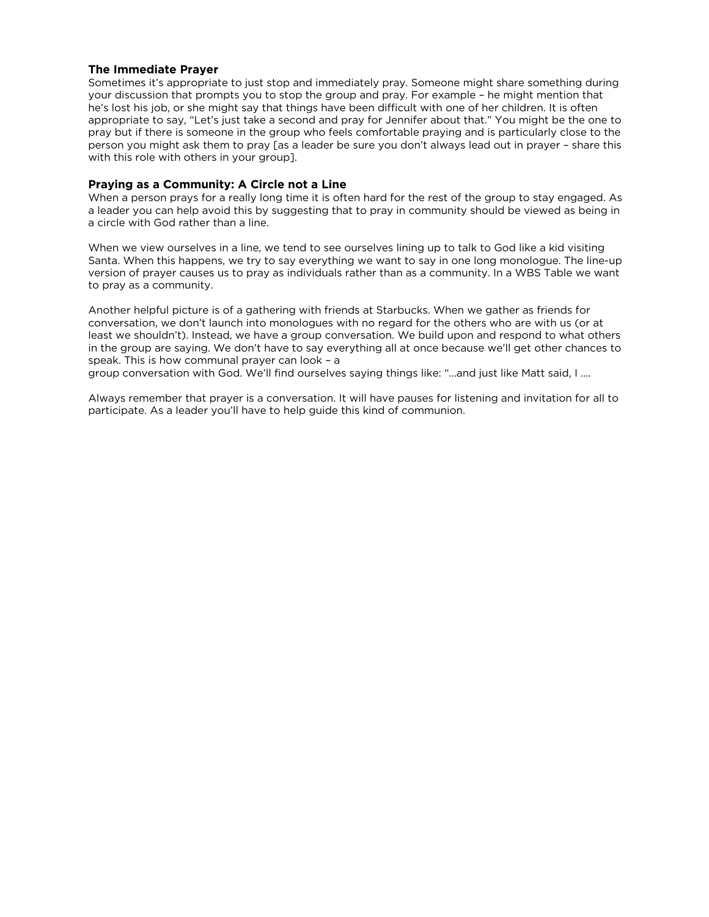#### **The Immediate Prayer**

Sometimes it's appropriate to just stop and immediately pray. Someone might share something during your discussion that prompts you to stop the group and pray. For example – he might mention that he's lost his job, or she might say that things have been difficult with one of her children. It is often appropriate to say, "Let's just take a second and pray for Jennifer about that." You might be the one to pray but if there is someone in the group who feels comfortable praying and is particularly close to the person you might ask them to pray [as a leader be sure you don't always lead out in prayer – share this with this role with others in your group].

#### **Praying as a Community: A Circle not a Line**

When a person prays for a really long time it is often hard for the rest of the group to stay engaged. As a leader you can help avoid this by suggesting that to pray in community should be viewed as being in a circle with God rather than a line.

When we view ourselves in a line, we tend to see ourselves lining up to talk to God like a kid visiting Santa. When this happens, we try to say everything we want to say in one long monologue. The line-up version of prayer causes us to pray as individuals rather than as a community. In a WBS Table we want to pray as a community.

Another helpful picture is of a gathering with friends at Starbucks. When we gather as friends for conversation, we don't launch into monologues with no regard for the others who are with us (or at least we shouldn't). Instead, we have a group conversation. We build upon and respond to what others in the group are saying. We don't have to say everything all at once because we'll get other chances to speak. This is how communal prayer can look – a

group conversation with God. We'll find ourselves saying things like: "…and just like Matt said, I ….

Always remember that prayer is a conversation. It will have pauses for listening and invitation for all to participate. As a leader you'll have to help guide this kind of communion.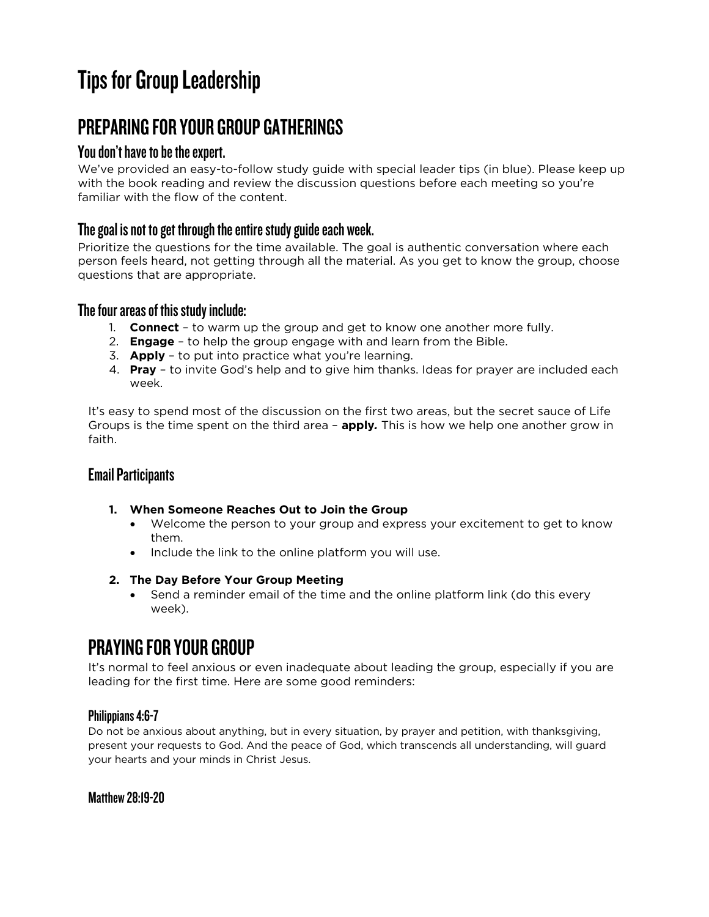# Tips for Group Leadership

## PREPARING FOR YOUR GROUP GATHERINGS

## You don't have to be the expert.

We've provided an easy-to-follow study guide with special leader tips (in blue). Please keep up with the book reading and review the discussion questions before each meeting so you're familiar with the flow of the content.

## The goal is not to get through the entire study guide each week.

Prioritize the questions for the time available. The goal is authentic conversation where each person feels heard, not getting through all the material. As you get to know the group, choose questions that are appropriate.

## The four areas of this study include:

- 1. **Connect**  to warm up the group and get to know one another more fully.
- 2. **Engage** to help the group engage with and learn from the Bible.
- 3. **Apply**  to put into practice what you're learning.
- 4. **Pray** to invite God's help and to give him thanks. Ideas for prayer are included each week.

It's easy to spend most of the discussion on the first two areas, but the secret sauce of Life Groups is the time spent on the third area – **apply***.* This is how we help one another grow in faith.

## Email Participants

- **1. When Someone Reaches Out to Join the Group**
	- Welcome the person to your group and express your excitement to get to know them.
	- Include the link to the online platform you will use.

#### **2. The Day Before Your Group Meeting**

• Send a reminder email of the time and the online platform link (do this every week).

## PRAYING FOR YOUR GROUP

It's normal to feel anxious or even inadequate about leading the group, especially if you are leading for the first time. Here are some good reminders:

## Philippians 4:6-7

Do not be anxious about anything, but in every situation, by prayer and petition, with thanksgiving, present your requests to God. And the peace of God, which transcends all understanding, will guard your hearts and your minds in Christ Jesus.

Matthew 28:19-20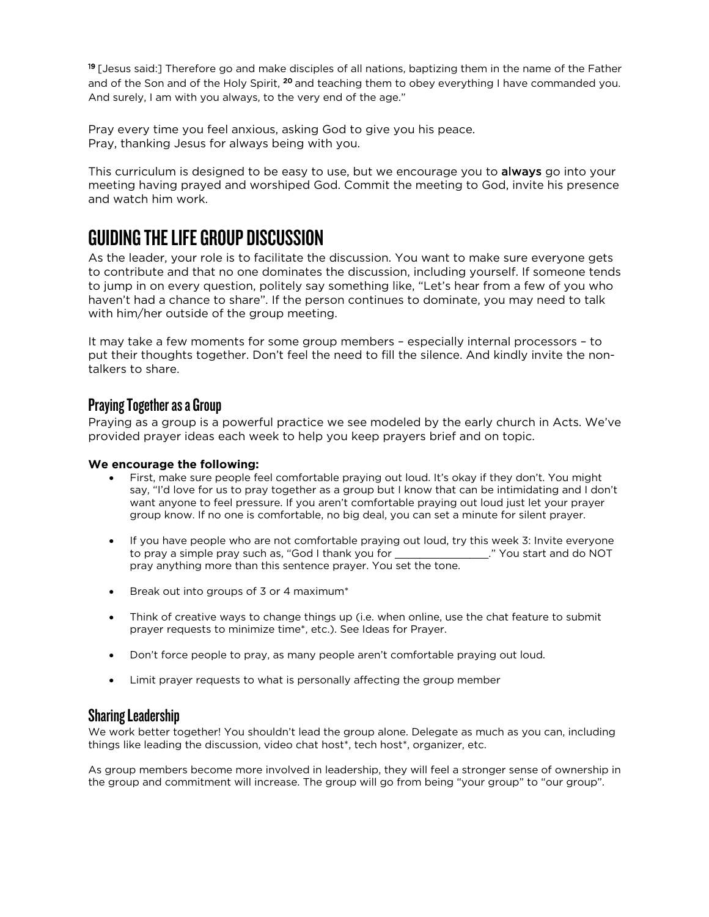19 [Jesus said:] Therefore go and make disciples of all nations, baptizing them in the name of the Father and of the Son and of the Holy Spirit, <sup>20</sup> and teaching them to obey everything I have commanded you. And surely, I am with you always, to the very end of the age."

Pray every time you feel anxious, asking God to give you his peace. Pray, thanking Jesus for always being with you.

This curriculum is designed to be easy to use, but we encourage you to **always** go into your meeting having prayed and worshiped God. Commit the meeting to God, invite his presence and watch him work.

## GUIDING THE LIFE GROUP DISCUSSION

As the leader, your role is to facilitate the discussion. You want to make sure everyone gets to contribute and that no one dominates the discussion, including yourself. If someone tends to jump in on every question, politely say something like, "Let's hear from a few of you who haven't had a chance to share". If the person continues to dominate, you may need to talk with him/her outside of the group meeting.

It may take a few moments for some group members – especially internal processors – to put their thoughts together. Don't feel the need to fill the silence. And kindly invite the nontalkers to share.

## Praying Together as a Group

Praying as a group is a powerful practice we see modeled by the early church in Acts. We've provided prayer ideas each week to help you keep prayers brief and on topic.

#### **We encourage the following:**

- First, make sure people feel comfortable praying out loud. It's okay if they don't. You might say, "I'd love for us to pray together as a group but I know that can be intimidating and I don't want anyone to feel pressure. If you aren't comfortable praying out loud just let your prayer group know. If no one is comfortable, no big deal, you can set a minute for silent prayer.
- If you have people who are not comfortable praying out loud, try this week 3: Invite everyone to pray a simple pray such as, "God I thank you for \_\_\_\_\_\_\_\_\_\_\_\_\_\_\_." You start and do NOT to pray a simple pray such as, "God I thank you for pray anything more than this sentence prayer. You set the tone.
- Break out into groups of 3 or 4 maximum\*
- Think of creative ways to change things up (i.e. when online, use the chat feature to submit prayer requests to minimize time\*, etc.). See Ideas for Prayer.
- Don't force people to pray, as many people aren't comfortable praying out loud.
- Limit prayer requests to what is personally affecting the group member

### Sharing Leadership

We work better together! You shouldn't lead the group alone. Delegate as much as you can, including things like leading the discussion, video chat host\*, tech host\*, organizer, etc.

As group members become more involved in leadership, they will feel a stronger sense of ownership in the group and commitment will increase. The group will go from being "your group" to "our group".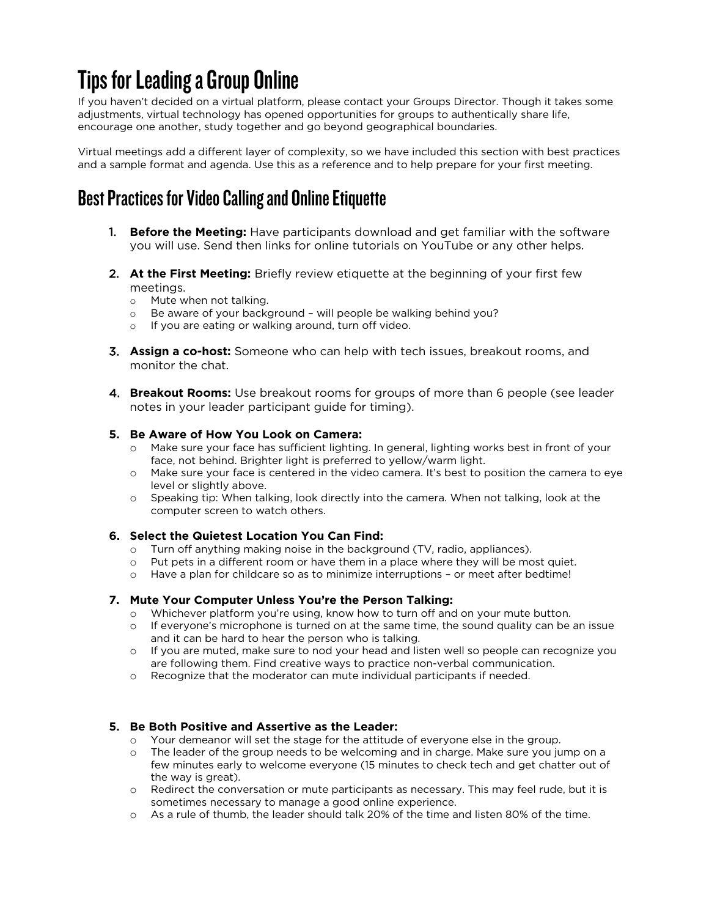# Tips for Leading a Group Online

If you haven't decided on a virtual platform, please contact your Groups Director. Though it takes some adjustments, virtual technology has opened opportunities for groups to authentically share life, encourage one another, study together and go beyond geographical boundaries.

Virtual meetings add a different layer of complexity, so we have included this section with best practices and a sample format and agenda. Use this as a reference and to help prepare for your first meeting.

## Best Practices for Video Calling and Online Etiquette

- 1. **Before the Meeting:** Have participants download and get familiar with the software you will use. Send then links for online tutorials on YouTube or any other helps.
- 2. **At the First Meeting:** Briefly review etiquette at the beginning of your first few meetings.
	- o Mute when not talking.
	- o Be aware of your background will people be walking behind you?
	- o If you are eating or walking around, turn off video.
- 3. **Assign a co-host:** Someone who can help with tech issues, breakout rooms, and monitor the chat.
- 4. **Breakout Rooms:** Use breakout rooms for groups of more than 6 people (see leader notes in your leader participant guide for timing).

#### **5. Be Aware of How You Look on Camera:**

- o Make sure your face has sufficient lighting. In general, lighting works best in front of your face, not behind. Brighter light is preferred to yellow/warm light.
- o Make sure your face is centered in the video camera. It's best to position the camera to eye level or slightly above.
- o Speaking tip: When talking, look directly into the camera. When not talking, look at the computer screen to watch others.

#### **6. Select the Quietest Location You Can Find:**

- o Turn off anything making noise in the background (TV, radio, appliances).
- o Put pets in a different room or have them in a place where they will be most quiet.
- o Have a plan for childcare so as to minimize interruptions or meet after bedtime!

#### **7. Mute Your Computer Unless You're the Person Talking:**

- o Whichever platform you're using, know how to turn off and on your mute button.
- o If everyone's microphone is turned on at the same time, the sound quality can be an issue and it can be hard to hear the person who is talking.
- o If you are muted, make sure to nod your head and listen well so people can recognize you are following them. Find creative ways to practice non-verbal communication.
- o Recognize that the moderator can mute individual participants if needed.

#### **5. Be Both Positive and Assertive as the Leader:**

- o Your demeanor will set the stage for the attitude of everyone else in the group.
- o The leader of the group needs to be welcoming and in charge. Make sure you jump on a few minutes early to welcome everyone (15 minutes to check tech and get chatter out of the way is great).
- o Redirect the conversation or mute participants as necessary. This may feel rude, but it is sometimes necessary to manage a good online experience.
- o As a rule of thumb, the leader should talk 20% of the time and listen 80% of the time.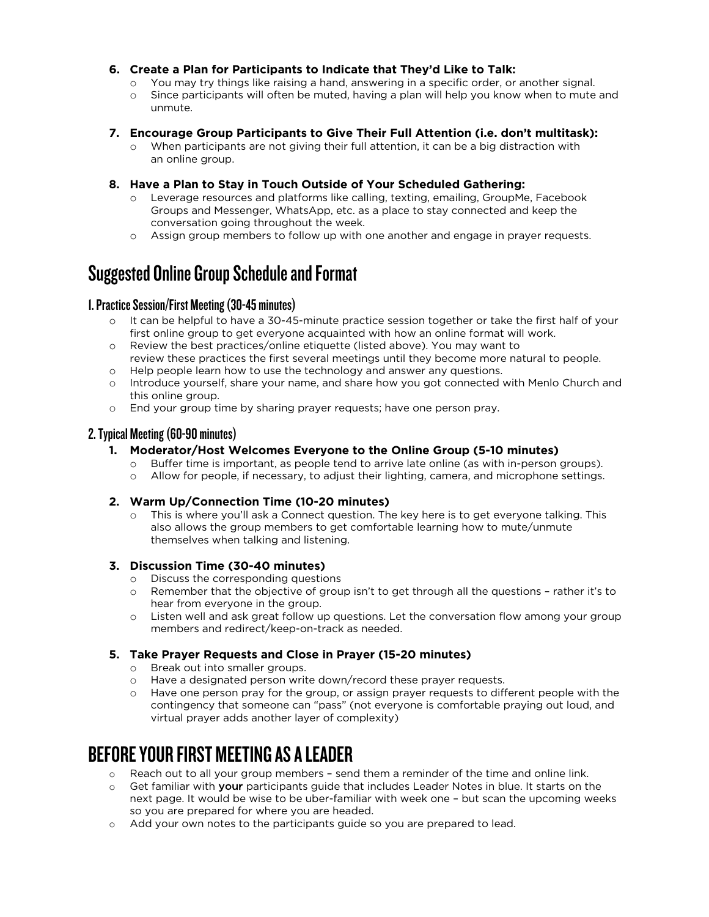#### **6. Create a Plan for Participants to Indicate that They'd Like to Talk:**

- You may try things like raising a hand, answering in a specific order, or another signal.
- o Since participants will often be muted, having a plan will help you know when to mute and unmute.

#### **7. Encourage Group Participants to Give Their Full Attention (i.e. don't multitask):**

o When participants are not giving their full attention, it can be a big distraction with an online group.

#### **8. Have a Plan to Stay in Touch Outside of Your Scheduled Gathering:**

- o Leverage resources and platforms like calling, texting, emailing, GroupMe, Facebook Groups and Messenger, WhatsApp, etc. as a place to stay connected and keep the conversation going throughout the week.
- o Assign group members to follow up with one another and engage in prayer requests.

## Suggested Online Group Schedule and Format

#### 1.Practice Session/First Meeting (30-45 minutes)

- o It can be helpful to have a 30-45-minute practice session together or take the first half of your first online group to get everyone acquainted with how an online format will work.
- o Review the best practices/online etiquette (listed above). You may want to review these practices the first several meetings until they become more natural to people.
- o Help people learn how to use the technology and answer any questions.
- o Introduce yourself, share your name, and share how you got connected with Menlo Church and this online group.
- o End your group time by sharing prayer requests; have one person pray.

### 2. Typical Meeting (60-90 minutes)

- **1. Moderator/Host Welcomes Everyone to the Online Group (5-10 minutes)**
	- o Buffer time is important, as people tend to arrive late online (as with in-person groups).
	- o Allow for people, if necessary, to adjust their lighting, camera, and microphone settings.

#### **2. Warm Up/Connection Time (10-20 minutes)**

o This is where you'll ask a Connect question. The key here is to get everyone talking. This also allows the group members to get comfortable learning how to mute/unmute themselves when talking and listening.

#### **3. Discussion Time (30-40 minutes)**

- o Discuss the corresponding questions<br>
o Remember that the objective of arou
- Remember that the objective of group isn't to get through all the questions rather it's to hear from everyone in the group.
- o Listen well and ask great follow up questions. Let the conversation flow among your group members and redirect/keep-on-track as needed.

#### **5. Take Prayer Requests and Close in Prayer (15-20 minutes)**

- o Break out into smaller groups.
- o Have a designated person write down/record these prayer requests.
- o Have one person pray for the group, or assign prayer requests to different people with the contingency that someone can "pass" (not everyone is comfortable praying out loud, and virtual prayer adds another layer of complexity)

## BEFORE YOUR FIRST MEETING AS A LEADER

- o Reach out to all your group members send them a reminder of the time and online link.
- o Get familiar with your participants guide that includes Leader Notes in blue. It starts on the next page. It would be wise to be uber-familiar with week one – but scan the upcoming weeks so you are prepared for where you are headed.
- o Add your own notes to the participants guide so you are prepared to lead.